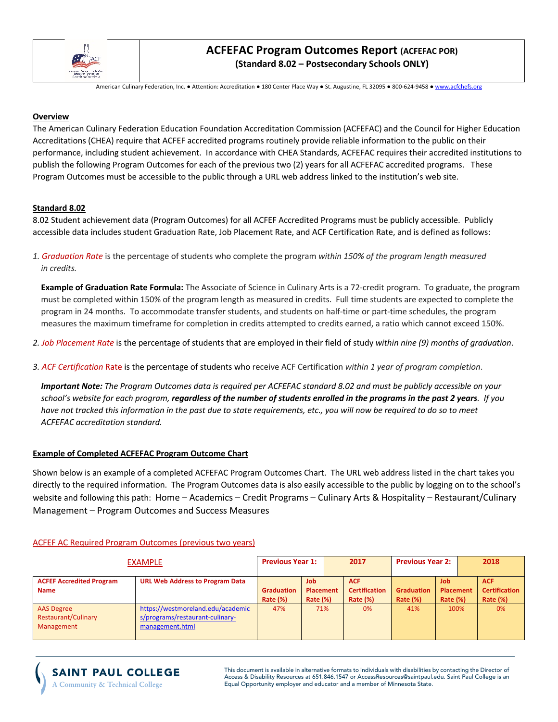

# **ACFEFAC Program Outcomes Report (ACFEFAC POR) (Standard 8.02 – Postsecondary Schools ONLY)**

American Culinary Federation, Inc. ● Attention: Accreditation ● 180 Center Place Way ● St. Augustine, FL 32095 ● 800-624-9458 ● www.acfchefs.org

### **Overview**

The American Culinary Federation Education Foundation Accreditation Commission (ACFEFAC) and the Council for Higher Education Accreditations (CHEA) require that ACFEF accredited programs routinely provide reliable information to the public on their performance, including student achievement. In accordance with CHEA Standards, ACFEFAC requires their accredited institutions to publish the following Program Outcomes for each of the previous two (2) years for all ACFEFAC accredited programs. These Program Outcomes must be accessible to the public through a URL web address linked to the institution's web site.

## **Standard 8.02**

8.02 Student achievement data (Program Outcomes) for all ACFEF Accredited Programs must be publicly accessible. Publicly accessible data includes student Graduation Rate, Job Placement Rate, and ACF Certification Rate, and is defined as follows:

*1. Graduation Rate* is the percentage of students who complete the program *within 150% of the program length measured in credits.*

 **Example of Graduation Rate Formula:** The Associate of Science in Culinary Arts is a 72-credit program. To graduate, the program must be completed within 150% of the program length as measured in credits. Full time students are expected to complete the program in 24 months. To accommodate transfer students, and students on half-time or part-time schedules, the program measures the maximum timeframe for completion in credits attempted to credits earned, a ratio which cannot exceed 150%.

- *2. Job Placement Rate* is the percentage of students that are employed in their field of study *within nine (9) months of graduation*.
- *3. ACF Certification* Rate is the percentage of students who receive ACF Certification *within 1 year of program completion*.

 *Important Note: The Program Outcomes data is required per ACFEFAC standard 8.02 and must be publicly accessible on your school's website for each program, regardless of the number of students enrolled in the programs in the past 2 years. If you have not tracked this information in the past due to state requirements, etc., you will now be required to do so to meet ACFEFAC accreditation standard.*

## **Example of Completed ACFEFAC Program Outcome Chart**

Shown below is an example of a completed ACFEFAC Program Outcomes Chart. The URL web address listed in the chart takes you directly to the required information. The Program Outcomes data is also easily accessible to the public by logging on to the school's website and following this path: Home – Academics – Credit Programs – Culinary Arts & Hospitality – Restaurant/Culinary Management – Program Outcomes and Success Measures

| <b>EXAMPLE</b>                                         |                                                                                         | <b>Previous Year 1:</b>              |                                        | 2017 |                                                       | <b>Previous Year 2:</b>          |                                                   | 2018 |                                                       |
|--------------------------------------------------------|-----------------------------------------------------------------------------------------|--------------------------------------|----------------------------------------|------|-------------------------------------------------------|----------------------------------|---------------------------------------------------|------|-------------------------------------------------------|
| <b>ACFEF Accredited Program</b><br><b>Name</b>         | <b>URL Web Address to Program Data</b>                                                  | <b>Graduation</b><br><b>Rate (%)</b> | <b>Job</b><br>Placement<br>Rate $(\%)$ |      | <b>ACF</b><br><b>Certification</b><br><b>Rate (%)</b> | <b>Graduation</b><br>Rate $(\%)$ | <b>Job</b><br><b>Placement</b><br><b>Rate (%)</b> |      | <b>ACF</b><br><b>Certification</b><br><b>Rate (%)</b> |
| <b>AAS Degree</b><br>Restaurant/Culinary<br>Management | https://westmoreland.edu/academic<br>s/programs/restaurant-culinary-<br>management.html | 47%                                  | 71%                                    |      | 0%                                                    | 41%                              | 100%                                              |      | 0%                                                    |

### ACFEF AC Required Program Outcomes (previous two years)

## **SAINT PAUL COLLEGE** A Community & Technical College

This document is available in alternative formats to individuals with disabilities by contacting the Director of Access & Disability Resources at 651.846.1547 or AccessResources@saintpaul.edu. Saint Paul College is an Equal Opportunity employer and educator and a member of Minnesota State.